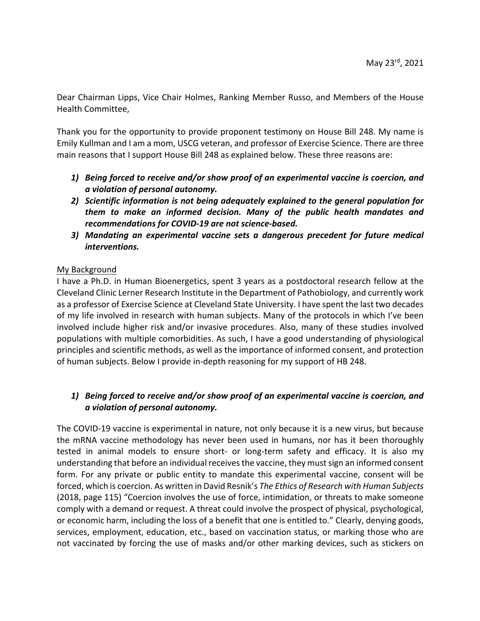Dear Chairman Lipps, Vice Chair Holmes, Ranking Member Russo, and Members of the House Health Committee,

Thank you for the opportunity to provide proponent testimony on House Bill 248. My name is Emily Kullman and I am a mom, USCG veteran, and professor of Exercise Science. There are three main reasons that I support House Bill 248 as explained below. These three reasons are:

- *1) Being forced to receive and/or show proof of an experimental vaccine is coercion, and a violation of personal autonomy.*
- *2) Scientific information is not being adequately explained to the general population for them to make an informed decision. Many of the public health mandates and recommendations for COVID-19 are not science-based.*
- *3) Mandating an experimental vaccine sets a dangerous precedent for future medical interventions.*

### My Background

I have a Ph.D. in Human Bioenergetics, spent 3 years as a postdoctoral research fellow at the Cleveland Clinic Lerner Research Institute in the Department of Pathobiology, and currently work as a professor of Exercise Science at Cleveland State University. I have spent the last two decades of my life involved in research with human subjects. Many of the protocols in which I've been involved include higher risk and/or invasive procedures. Also, many of these studies involved populations with multiple comorbidities. As such, I have a good understanding of physiological principles and scientific methods, as well as the importance of informed consent, and protection of human subjects. Below I provide in-depth reasoning for my support of HB 248.

# *1) Being forced to receive and/or show proof of an experimental vaccine is coercion, and a violation of personal autonomy.*

The COVID-19 vaccine is experimental in nature, not only because it is a new virus, but because the mRNA vaccine methodology has never been used in humans, nor has it been thoroughly tested in animal models to ensure short- or long-term safety and efficacy. It is also my understanding that before an individual receives the vaccine, they must sign an informed consent form. For any private or public entity to mandate this experimental vaccine, consent will be forced, which is coercion. As written in David Resnik's *The Ethics of Research with Human Subjects* (2018, page 115) "Coercion involves the use of force, intimidation, or threats to make someone comply with a demand or request. A threat could involve the prospect of physical, psychological, or economic harm, including the loss of a benefit that one is entitled to." Clearly, denying goods, services, employment, education, etc., based on vaccination status, or marking those who are not vaccinated by forcing the use of masks and/or other marking devices, such as stickers on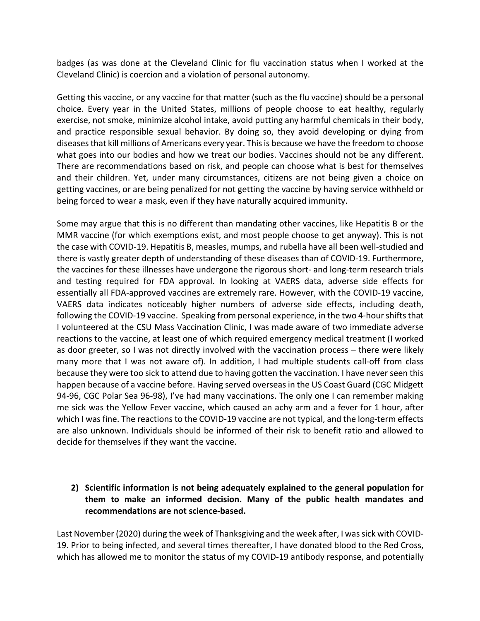badges (as was done at the Cleveland Clinic for flu vaccination status when I worked at the Cleveland Clinic) is coercion and a violation of personal autonomy.

Getting this vaccine, or any vaccine for that matter (such as the flu vaccine) should be a personal choice. Every year in the United States, millions of people choose to eat healthy, regularly exercise, not smoke, minimize alcohol intake, avoid putting any harmful chemicals in their body, and practice responsible sexual behavior. By doing so, they avoid developing or dying from diseases that kill millions of Americans every year. This is because we have the freedom to choose what goes into our bodies and how we treat our bodies. Vaccines should not be any different. There are recommendations based on risk, and people can choose what is best for themselves and their children. Yet, under many circumstances, citizens are not being given a choice on getting vaccines, or are being penalized for not getting the vaccine by having service withheld or being forced to wear a mask, even if they have naturally acquired immunity.

Some may argue that this is no different than mandating other vaccines, like Hepatitis B or the MMR vaccine (for which exemptions exist, and most people choose to get anyway). This is not the case with COVID-19. Hepatitis B, measles, mumps, and rubella have all been well-studied and there is vastly greater depth of understanding of these diseases than of COVID-19. Furthermore, the vaccines for these illnesses have undergone the rigorous short- and long-term research trials and testing required for FDA approval. In looking at VAERS data, adverse side effects for essentially all FDA-approved vaccines are extremely rare. However, with the COVID-19 vaccine, VAERS data indicates noticeably higher numbers of adverse side effects, including death, following the COVID-19 vaccine. Speaking from personal experience, in the two 4-hour shifts that I volunteered at the CSU Mass Vaccination Clinic, I was made aware of two immediate adverse reactions to the vaccine, at least one of which required emergency medical treatment (I worked as door greeter, so I was not directly involved with the vaccination process – there were likely many more that I was not aware of). In addition, I had multiple students call-off from class because they were too sick to attend due to having gotten the vaccination. I have never seen this happen because of a vaccine before. Having served overseas in the US Coast Guard (CGC Midgett 94-96, CGC Polar Sea 96-98), I've had many vaccinations. The only one I can remember making me sick was the Yellow Fever vaccine, which caused an achy arm and a fever for 1 hour, after which I was fine. The reactions to the COVID-19 vaccine are not typical, and the long-term effects are also unknown. Individuals should be informed of their risk to benefit ratio and allowed to decide for themselves if they want the vaccine.

### **2) Scientific information is not being adequately explained to the general population for them to make an informed decision. Many of the public health mandates and recommendations are not science-based.**

Last November (2020) during the week of Thanksgiving and the week after, I was sick with COVID-19. Prior to being infected, and several times thereafter, I have donated blood to the Red Cross, which has allowed me to monitor the status of my COVID-19 antibody response, and potentially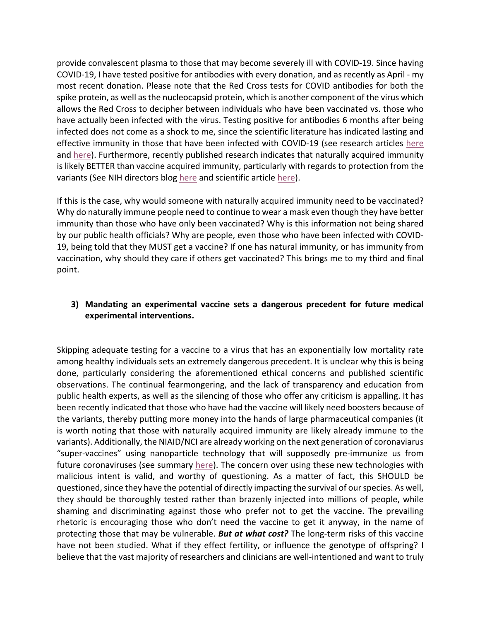provide convalescent plasma to those that may become severely ill with COVID-19. Since having COVID-19, I have tested positive for antibodies with every donation, and as recently as April - my most recent donation. Please note that the Red Cross tests for COVID antibodies for both the spike protein, as well asthe nucleocapsid protein, which is another component of the virus which allows the Red Cross to decipher between individuals who have been vaccinated vs. those who have actually been infected with the virus. Testing positive for antibodies 6 months after being infected does not come as a shock to me, since the scientific literature has indicated lasting and effective immunity in those that have been infected with COVID-19 (see research articles here and here). Furthermore, recently published research indicates that naturally acquired immunity is likely BETTER than vaccine acquired immunity, particularly with regards to protection from the variants (See NIH directors blog here and scientific article here).

If this is the case, why would someone with naturally acquired immunity need to be vaccinated? Why do naturally immune people need to continue to wear a mask even though they have better immunity than those who have only been vaccinated? Why is this information not being shared by our public health officials? Why are people, even those who have been infected with COVID-19, being told that they MUST get a vaccine? If one has natural immunity, or has immunity from vaccination, why should they care if others get vaccinated? This brings me to my third and final point.

# **3) Mandating an experimental vaccine sets a dangerous precedent for future medical experimental interventions.**

Skipping adequate testing for a vaccine to a virus that has an exponentially low mortality rate among healthy individuals sets an extremely dangerous precedent. It is unclear why this is being done, particularly considering the aforementioned ethical concerns and published scientific observations. The continual fearmongering, and the lack of transparency and education from public health experts, as well as the silencing of those who offer any criticism is appalling. It has been recently indicated that those who have had the vaccine will likely need boosters because of the variants, thereby putting more money into the hands of large pharmaceutical companies (it is worth noting that those with naturally acquired immunity are likely already immune to the variants). Additionally, the NIAID/NCI are already working on the next generation of coronaviarus "super-vaccines" using nanoparticle technology that will supposedly pre-immunize us from future coronaviruses (see summary here). The concern over using these new technologies with malicious intent is valid, and worthy of questioning. As a matter of fact, this SHOULD be questioned, since they have the potential of directly impacting the survival of our species. As well, they should be thoroughly tested rather than brazenly injected into millions of people, while shaming and discriminating against those who prefer not to get the vaccine. The prevailing rhetoric is encouraging those who don't need the vaccine to get it anyway, in the name of protecting those that may be vulnerable. *But at what cost?* The long-term risks of this vaccine have not been studied. What if they effect fertility, or influence the genotype of offspring? I believe that the vast majority of researchers and clinicians are well-intentioned and want to truly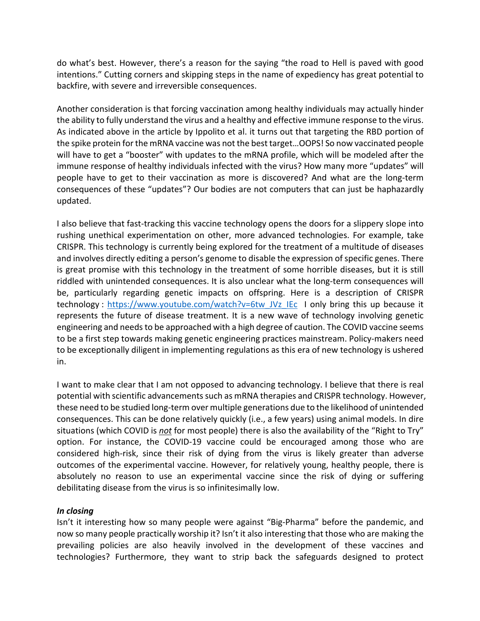do what's best. However, there's a reason for the saying "the road to Hell is paved with good intentions." Cutting corners and skipping steps in the name of expediency has great potential to backfire, with severe and irreversible consequences.

Another consideration is that forcing vaccination among healthy individuals may actually hinder the ability to fully understand the virus and a healthy and effective immune response to the virus. As indicated above in the article by Ippolito et al. it turns out that targeting the RBD portion of the spike protein for the mRNA vaccine was not the best target…OOPS! So now vaccinated people will have to get a "booster" with updates to the mRNA profile, which will be modeled after the immune response of healthy individuals infected with the virus? How many more "updates" will people have to get to their vaccination as more is discovered? And what are the long-term consequences of these "updates"? Our bodies are not computers that can just be haphazardly updated.

I also believe that fast-tracking this vaccine technology opens the doors for a slippery slope into rushing unethical experimentation on other, more advanced technologies. For example, take CRISPR. This technology is currently being explored for the treatment of a multitude of diseases and involves directly editing a person's genome to disable the expression of specific genes. There is great promise with this technology in the treatment of some horrible diseases, but it is still riddled with unintended consequences. It is also unclear what the long-term consequences will be, particularly regarding genetic impacts on offspring. Here is a description of CRISPR technology : https://www.youtube.com/watch?v=6tw\_JVz\_IEc I only bring this up because it represents the future of disease treatment. It is a new wave of technology involving genetic engineering and needs to be approached with a high degree of caution. The COVID vaccine seems to be a first step towards making genetic engineering practices mainstream. Policy-makers need to be exceptionally diligent in implementing regulations as this era of new technology is ushered in.

I want to make clear that I am not opposed to advancing technology. I believe that there is real potential with scientific advancements such as mRNA therapies and CRISPR technology. However, these need to be studied long-term over multiple generations due to the likelihood of unintended consequences. This can be done relatively quickly (i.e., a few years) using animal models. In dire situations (which COVID is *not* for most people) there is also the availability of the "Right to Try" option. For instance, the COVID-19 vaccine could be encouraged among those who are considered high-risk, since their risk of dying from the virus is likely greater than adverse outcomes of the experimental vaccine. However, for relatively young, healthy people, there is absolutely no reason to use an experimental vaccine since the risk of dying or suffering debilitating disease from the virus is so infinitesimally low.

### *In closing*

Isn't it interesting how so many people were against "Big-Pharma" before the pandemic, and now so many people practically worship it? Isn't it also interesting that those who are making the prevailing policies are also heavily involved in the development of these vaccines and technologies? Furthermore, they want to strip back the safeguards designed to protect